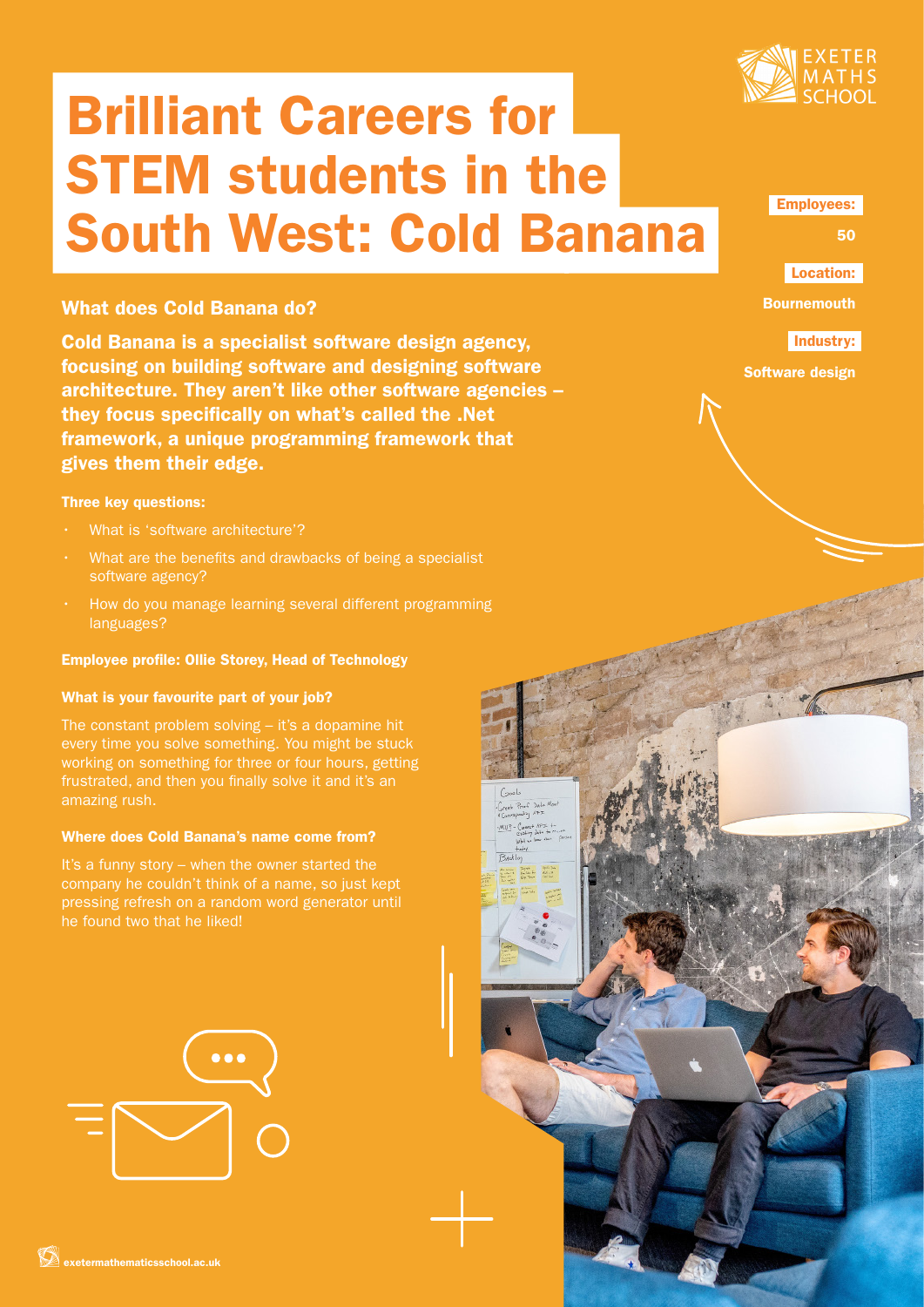

# Brilliant Careers for STEM students in the South West: Cold Banana

# What does Cold Banana do?

Cold Banana is a specialist software design agency, focusing on building software and designing software architecture. They aren't like other software agencies – they focus specifically on what's called the .Net framework, a unique programming framework that gives them their edge.

## Three key questions:

- What is 'software architecture'?
- What are the benefits and drawbacks of being a specialist software agency?
- How do you manage learning several different programming languages?

## Employee profile: Ollie Storey, Head of Technology

## What is your favourite part of your job?

The constant problem solving – it's a dopamine hit

## Where does Cold Banana's name come from?

It's a funny story – when the owner started the company he couldn't think of a name, so just kept he found two that he liked!



# Employees:

50

Location:

Bournemouth

Industry:

Software design